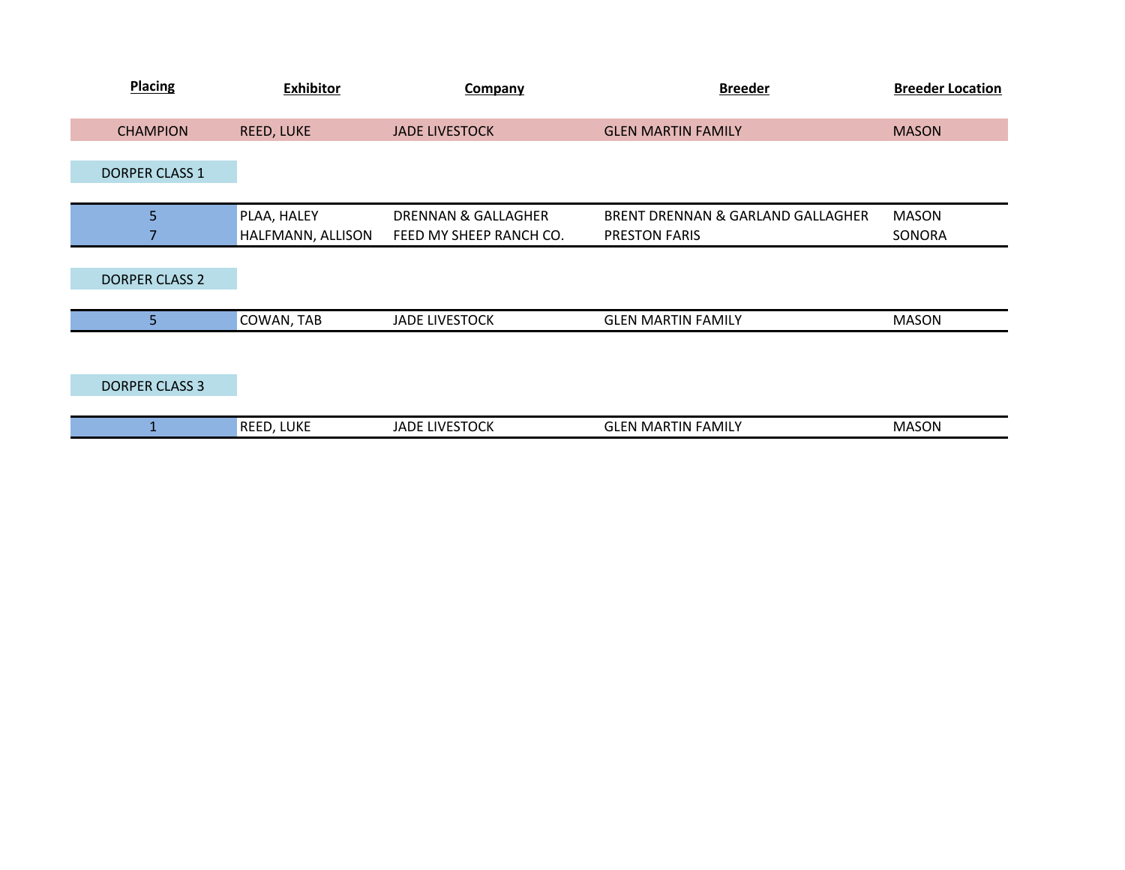| <b>Placing</b>        | <b>Exhibitor</b>  | Company                        | <b>Breeder</b>                    | <b>Breeder Location</b> |
|-----------------------|-------------------|--------------------------------|-----------------------------------|-------------------------|
| <b>CHAMPION</b>       | REED, LUKE        | <b>JADE LIVESTOCK</b>          | <b>GLEN MARTIN FAMILY</b>         | <b>MASON</b>            |
|                       |                   |                                |                                   |                         |
| <b>DORPER CLASS 1</b> |                   |                                |                                   |                         |
|                       |                   |                                |                                   |                         |
| 5                     | PLAA, HALEY       | <b>DRENNAN &amp; GALLAGHER</b> | BRENT DRENNAN & GARLAND GALLAGHER | <b>MASON</b>            |
|                       | HALFMANN, ALLISON | FEED MY SHEEP RANCH CO.        | PRESTON FARIS                     | SONORA                  |
|                       |                   |                                |                                   |                         |
| <b>DORPER CLASS 2</b> |                   |                                |                                   |                         |
|                       |                   |                                |                                   |                         |
| 5                     | COWAN, TAB        | <b>JADE LIVESTOCK</b>          | <b>GLEN MARTIN FAMILY</b>         | <b>MASON</b>            |
|                       |                   |                                |                                   |                         |
|                       |                   |                                |                                   |                         |
| <b>DORPER CLASS 3</b> |                   |                                |                                   |                         |
|                       |                   |                                |                                   |                         |
|                       | REED, LUKE        | <b>JADE LIVESTOCK</b>          | <b>GLEN MARTIN FAMILY</b>         | <b>MASON</b>            |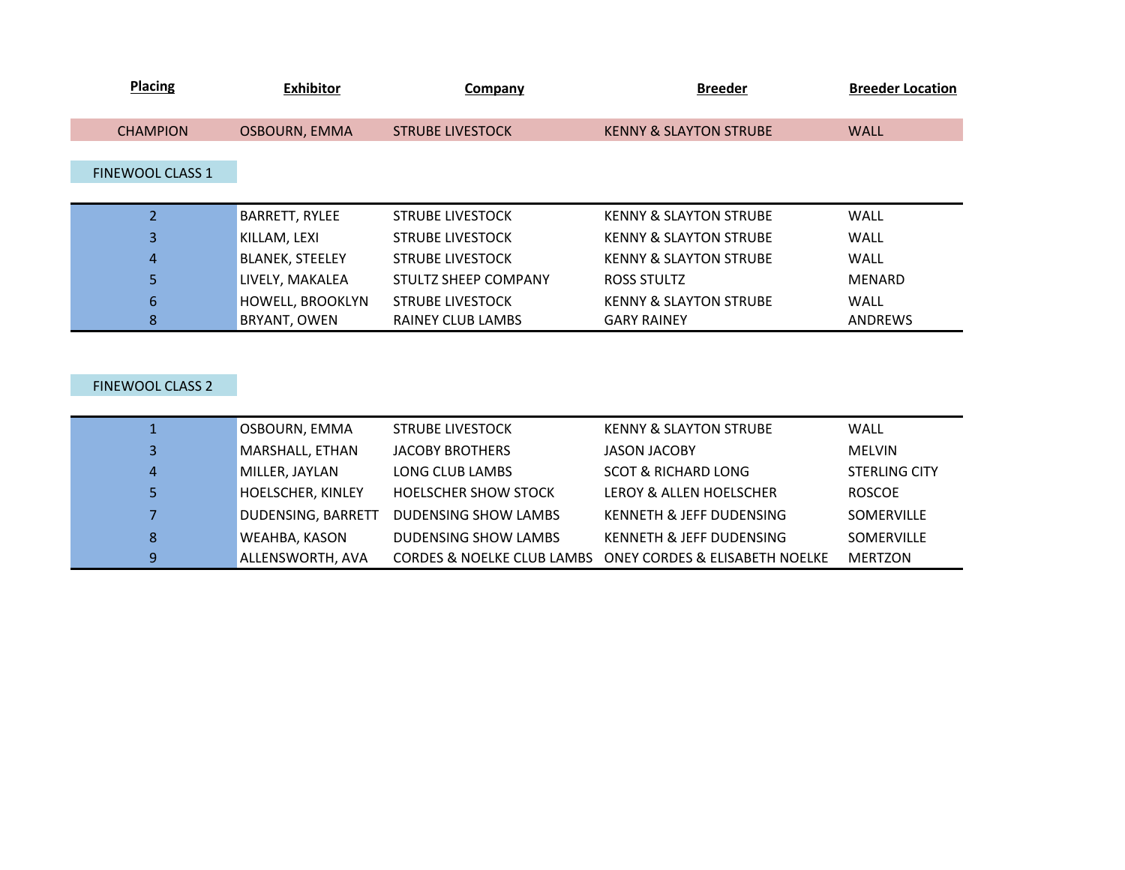| <b>Placing</b>          | <b>Exhibitor</b>        | Company                     | <b>Breeder</b>                    | <b>Breeder Location</b> |
|-------------------------|-------------------------|-----------------------------|-----------------------------------|-------------------------|
| <b>CHAMPION</b>         | <b>OSBOURN, EMMA</b>    | <b>STRUBE LIVESTOCK</b>     | <b>KENNY &amp; SLAYTON STRUBE</b> | <b>WALL</b>             |
| <b>FINEWOOL CLASS 1</b> |                         |                             |                                   |                         |
|                         | <b>BARRETT, RYLEE</b>   | <b>STRUBE LIVESTOCK</b>     | <b>KENNY &amp; SLAYTON STRUBE</b> | <b>WALL</b>             |
| 3                       | KILLAM, LEXI            | <b>STRUBE LIVESTOCK</b>     | <b>KENNY &amp; SLAYTON STRUBE</b> | <b>WALL</b>             |
| $\overline{4}$          | <b>BLANEK, STEELEY</b>  | <b>STRUBE LIVESTOCK</b>     | <b>KENNY &amp; SLAYTON STRUBE</b> | <b>WALL</b>             |
| 5                       | LIVELY, MAKALEA         | <b>STULTZ SHEEP COMPANY</b> | ROSS STULTZ                       | <b>MENARD</b>           |
| 6                       | <b>HOWELL, BROOKLYN</b> | <b>STRUBE LIVESTOCK</b>     | <b>KENNY &amp; SLAYTON STRUBE</b> | <b>WALL</b>             |
| 8                       | BRYANT, OWEN            | RAINEY CLUB LAMBS           | <b>GARY RAINEY</b>                | ANDREWS                 |
|                         |                         |                             |                                   |                         |

## FINEWOOL CLASS 2

|                | OSBOURN, EMMA             | <b>STRUBE LIVESTOCK</b>               | <b>KENNY &amp; SLAYTON STRUBE</b>         | WALL                 |
|----------------|---------------------------|---------------------------------------|-------------------------------------------|----------------------|
| 3              | MARSHALL, ETHAN           | JACOBY BROTHERS                       | <b>JASON JACOBY</b>                       | <b>MELVIN</b>        |
| $\overline{4}$ | MILLER, JAYLAN            | LONG CLUB LAMBS                       | <b>SCOT &amp; RICHARD LONG</b>            | <b>STERLING CITY</b> |
| 5.             | HOELSCHER, KINLEY         | <b>HOELSCHER SHOW STOCK</b>           | LEROY & ALLEN HOELSCHER                   | <b>ROSCOE</b>        |
| $\overline{7}$ | <b>DUDENSING, BARRETT</b> | <b>DUDENSING SHOW LAMBS</b>           | KENNETH & JEFF DUDENSING                  | SOMERVILLE           |
| 8              | WEAHBA, KASON             | DUDENSING SHOW LAMBS                  | KENNETH & JEFF DUDENSING                  | SOMERVILLE           |
| 9              | ALLENSWORTH, AVA          | <b>CORDES &amp; NOELKE CLUB LAMBS</b> | <b>ONEY CORDES &amp; ELISABETH NOELKE</b> | <b>MERTZON</b>       |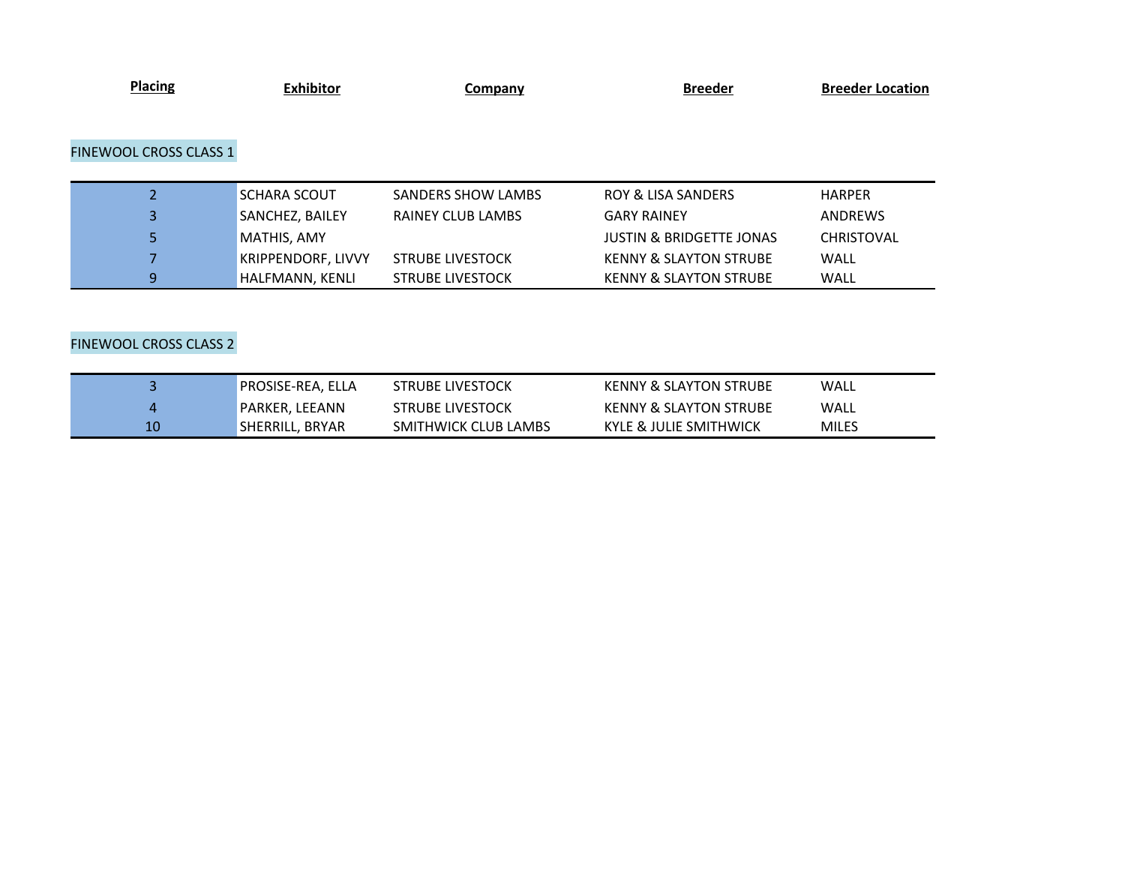| <b>Placing</b>                | <b>Exhibitor</b>          | <b>Company</b>            | <b>Breeder</b>                      | <b>Breeder Location</b> |
|-------------------------------|---------------------------|---------------------------|-------------------------------------|-------------------------|
|                               |                           |                           |                                     |                         |
|                               |                           |                           |                                     |                         |
| <b>FINEWOOL CROSS CLASS 1</b> |                           |                           |                                     |                         |
|                               |                           |                           |                                     |                         |
|                               |                           |                           |                                     |                         |
| 2                             | <b>SCHARA SCOUT</b>       | <b>SANDERS SHOW LAMBS</b> | <b>ROY &amp; LISA SANDERS</b>       | <b>HARPER</b>           |
| 3                             | SANCHEZ, BAILEY           | <b>RAINEY CLUB LAMBS</b>  | <b>GARY RAINEY</b>                  | ANDREWS                 |
| 5                             | MATHIS, AMY               |                           | <b>JUSTIN &amp; BRIDGETTE JONAS</b> | <b>CHRISTOVAL</b>       |
|                               | <b>KRIPPENDORF, LIVVY</b> | <b>STRUBE LIVESTOCK</b>   | <b>KENNY &amp; SLAYTON STRUBE</b>   | <b>WALL</b>             |
| 9                             | HALFMANN, KENLI           | <b>STRUBE LIVESTOCK</b>   | <b>KENNY &amp; SLAYTON STRUBE</b>   | <b>WALL</b>             |

## FINEWOOL CROSS CLASS 2

|    | <b>PROSISE-REA, ELLA</b> | <b>STRUBE LIVESTOCK</b> | <b>KENNY &amp; SLAYTON STRUBE</b> | WALL         |
|----|--------------------------|-------------------------|-----------------------------------|--------------|
|    | <b>PARKER. LEEANN</b>    | <b>STRUBE LIVESTOCK</b> | <b>KENNY &amp; SLAYTON STRUBE</b> | WALL         |
| 10 | SHERRILL, BRYAR          | SMITHWICK CLUB LAMBS    | KYLE & JULIE SMITHWICK            | <b>MILES</b> |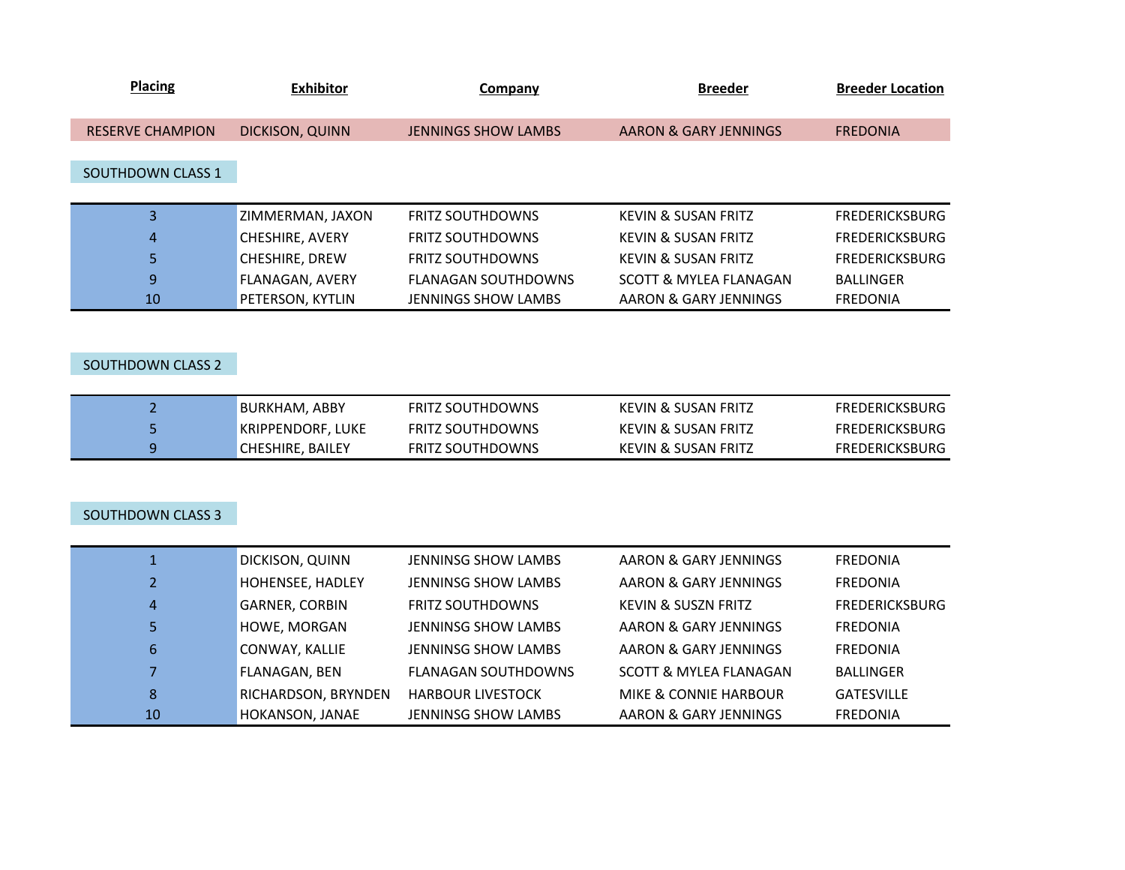| <b>Placing</b>          | <b>Exhibitor</b>       | Company                    | <b>Breeder</b>                 | <b>Breeder Location</b> |
|-------------------------|------------------------|----------------------------|--------------------------------|-------------------------|
| <b>RESERVE CHAMPION</b> | <b>DICKISON, QUINN</b> | <b>JENNINGS SHOW LAMBS</b> | AARON & GARY JENNINGS          | <b>FREDONIA</b>         |
|                         |                        |                            |                                |                         |
| SOUTHDOWN CLASS 1       |                        |                            |                                |                         |
|                         |                        |                            |                                |                         |
| 3                       | ZIMMERMAN, JAXON       | <b>FRITZ SOUTHDOWNS</b>    | <b>KEVIN &amp; SUSAN FRITZ</b> | <b>FREDERICKSBURG</b>   |
| $\overline{4}$          | <b>CHESHIRE, AVERY</b> | <b>FRITZ SOUTHDOWNS</b>    | <b>KEVIN &amp; SUSAN FRITZ</b> | <b>FREDERICKSBURG</b>   |
| 5                       | CHESHIRE, DREW         | <b>FRITZ SOUTHDOWNS</b>    | <b>KEVIN &amp; SUSAN FRITZ</b> | <b>FREDERICKSBURG</b>   |
| 9                       | <b>FLANAGAN, AVERY</b> | <b>FLANAGAN SOUTHDOWNS</b> | SCOTT & MYLEA FLANAGAN         | <b>BALLINGER</b>        |
| 10                      | PETERSON, KYTLIN       | <b>JENNINGS SHOW LAMBS</b> | AARON & GARY JENNINGS          | <b>FREDONIA</b>         |
|                         |                        |                            |                                |                         |

## SOUTHDOWN CLASS 2

| BURKHAM. ABBY     | FRITZ SOUTHDOWNS        | KEVIN & SUSAN FRITZ | <b>FREDERICKSBURG</b> |
|-------------------|-------------------------|---------------------|-----------------------|
| KRIPPENDORF, LUKE | <b>FRITZ SOUTHDOWNS</b> | KEVIN & SUSAN FRITZ | <b>FREDERICKSBURG</b> |
| CHESHIRE. BAILEY  | <b>FRITZ SOUTHDOWNS</b> | KEVIN & SUSAN FRITZ | <b>FREDERICKSBURG</b> |

## SOUTHDOWN CLASS 3

|                | DICKISON, QUINN       | <b>JENNINSG SHOW LAMBS</b> | AARON & GARY JENNINGS          | <b>FREDONIA</b>   |
|----------------|-----------------------|----------------------------|--------------------------------|-------------------|
| $\overline{2}$ | HOHENSEE, HADLEY      | JENNINSG SHOW LAMBS        | AARON & GARY JENNINGS          | <b>FREDONIA</b>   |
| 4              | <b>GARNER, CORBIN</b> | <b>FRITZ SOUTHDOWNS</b>    | <b>KEVIN &amp; SUSZN FRITZ</b> | FREDERICKSBURG    |
| 5.             | HOWE, MORGAN          | <b>JENNINSG SHOW LAMBS</b> | AARON & GARY JENNINGS          | <b>FREDONIA</b>   |
| 6              | CONWAY, KALLIE        | <b>JENNINSG SHOW LAMBS</b> | AARON & GARY JENNINGS          | <b>FREDONIA</b>   |
|                | <b>FLANAGAN, BEN</b>  | <b>FLANAGAN SOUTHDOWNS</b> | SCOTT & MYLEA FLANAGAN         | <b>BALLINGER</b>  |
| 8              | RICHARDSON, BRYNDEN   | <b>HARBOUR LIVESTOCK</b>   | MIKE & CONNIE HARBOUR          | <b>GATESVILLE</b> |
| 10             | HOKANSON, JANAE       | <b>JENNINSG SHOW LAMBS</b> | AARON & GARY JENNINGS          | <b>FREDONIA</b>   |